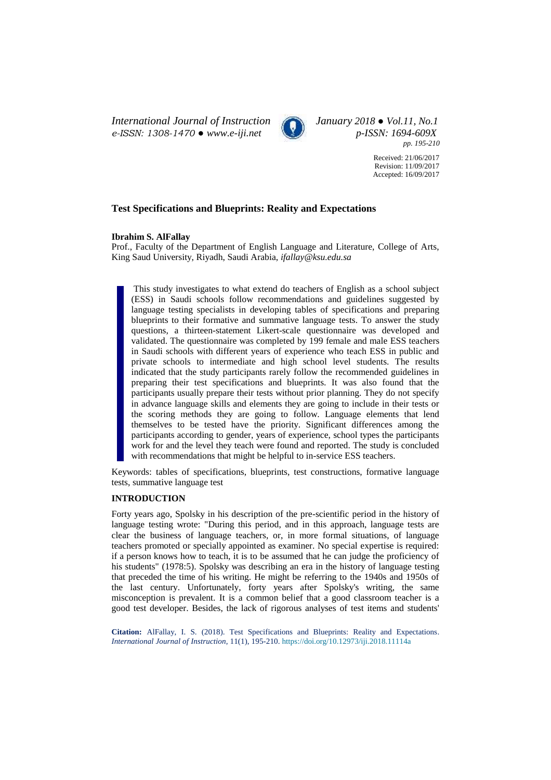*International Journal of Instruction January 2018 ● Vol.11, No.1 e-ISSN: 1308-1470 ● [www.e-iji.net](http://www.e-iji.net/) p-ISSN: 1694-609X*



*pp. 195-210*

Received: 21/06/2017 Revision: 11/09/2017 Accepted: 16/09/2017

# **Test Specifications and Blueprints: Reality and Expectations**

### **Ibrahim S. AlFallay**

Prof., Faculty of the Department of English Language and Literature, College of Arts, King Saud University, Riyadh, Saudi Arabia, *ifallay@ksu.edu.sa*

This study investigates to what extend do teachers of English as a school subject (ESS) in Saudi schools follow recommendations and guidelines suggested by language testing specialists in developing tables of specifications and preparing blueprints to their formative and summative language tests. To answer the study questions, a thirteen-statement Likert-scale questionnaire was developed and validated. The questionnaire was completed by 199 female and male ESS teachers in Saudi schools with different years of experience who teach ESS in public and private schools to intermediate and high school level students. The results indicated that the study participants rarely follow the recommended guidelines in preparing their test specifications and blueprints. It was also found that the participants usually prepare their tests without prior planning. They do not specify in advance language skills and elements they are going to include in their tests or the scoring methods they are going to follow. Language elements that lend themselves to be tested have the priority. Significant differences among the participants according to gender, years of experience, school types the participants work for and the level they teach were found and reported. The study is concluded with recommendations that might be helpful to in-service ESS teachers.

Keywords: tables of specifications, blueprints, test constructions, formative language tests, summative language test

### **INTRODUCTION**

Forty years ago, Spolsky in his description of the pre-scientific period in the history of language testing wrote: "During this period, and in this approach, language tests are clear the business of language teachers, or, in more formal situations, of language teachers promoted or specially appointed as examiner. No special expertise is required: if a person knows how to teach, it is to be assumed that he can judge the proficiency of his students" (1978:5). Spolsky was describing an era in the history of language testing that preceded the time of his writing. He might be referring to the 1940s and 1950s of the last century. Unfortunately, forty years after Spolsky's writing, the same misconception is prevalent. It is a common belief that a good classroom teacher is a good test developer. Besides, the lack of rigorous analyses of test items and students'

**Citation:** AlFallay, I. S. (2018). Test Specifications and Blueprints: Reality and Expectations. *International Journal of Instruction*, 11(1), 195-210. <https://doi.org/10.12973/iji.2018.11114a>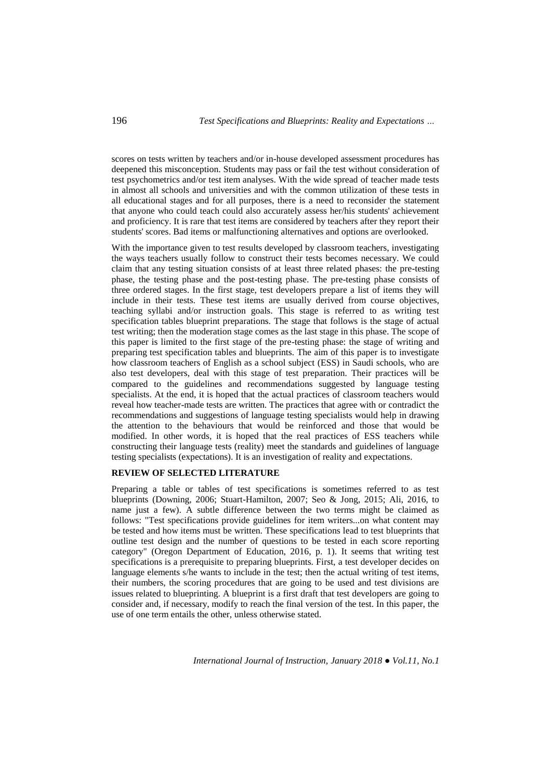scores on tests written by teachers and/or in-house developed assessment procedures has deepened this misconception. Students may pass or fail the test without consideration of test psychometrics and/or test item analyses. With the wide spread of teacher made tests in almost all schools and universities and with the common utilization of these tests in all educational stages and for all purposes, there is a need to reconsider the statement that anyone who could teach could also accurately assess her/his students' achievement and proficiency. It is rare that test items are considered by teachers after they report their students' scores. Bad items or malfunctioning alternatives and options are overlooked.

With the importance given to test results developed by classroom teachers, investigating the ways teachers usually follow to construct their tests becomes necessary. We could claim that any testing situation consists of at least three related phases: the pre-testing phase, the testing phase and the post-testing phase. The pre-testing phase consists of three ordered stages. In the first stage, test developers prepare a list of items they will include in their tests. These test items are usually derived from course objectives, teaching syllabi and/or instruction goals. This stage is referred to as writing test specification tables blueprint preparations. The stage that follows is the stage of actual test writing; then the moderation stage comes as the last stage in this phase. The scope of this paper is limited to the first stage of the pre-testing phase: the stage of writing and preparing test specification tables and blueprints. The aim of this paper is to investigate how classroom teachers of English as a school subject (ESS) in Saudi schools, who are also test developers, deal with this stage of test preparation. Their practices will be compared to the guidelines and recommendations suggested by language testing specialists. At the end, it is hoped that the actual practices of classroom teachers would reveal how teacher-made tests are written. The practices that agree with or contradict the recommendations and suggestions of language testing specialists would help in drawing the attention to the behaviours that would be reinforced and those that would be modified. In other words, it is hoped that the real practices of ESS teachers while constructing their language tests (reality) meet the standards and guidelines of language testing specialists (expectations). It is an investigation of reality and expectations.

### **REVIEW OF SELECTED LITERATURE**

Preparing a table or tables of test specifications is sometimes referred to as test blueprints (Downing, 2006; Stuart-Hamilton, 2007; Seo & Jong, 2015; Ali, 2016, to name just a few). A subtle difference between the two terms might be claimed as follows: "Test specifications provide guidelines for item writers...on what content may be tested and how items must be written. These specifications lead to test blueprints that outline test design and the number of questions to be tested in each score reporting category" (Oregon Department of Education, 2016, p. 1). It seems that writing test specifications is a prerequisite to preparing blueprints. First, a test developer decides on language elements s/he wants to include in the test; then the actual writing of test items, their numbers, the scoring procedures that are going to be used and test divisions are issues related to blueprinting. A blueprint is a first draft that test developers are going to consider and, if necessary, modify to reach the final version of the test. In this paper, the use of one term entails the other, unless otherwise stated.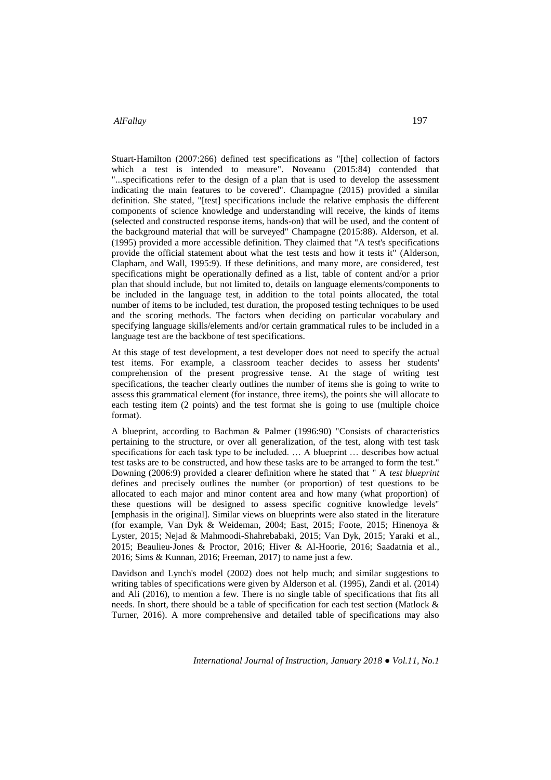Stuart-Hamilton (2007:266) defined test specifications as "[the] collection of factors which a test is intended to measure". Noveanu (2015:84) contended that "...specifications refer to the design of a plan that is used to develop the assessment indicating the main features to be covered". Champagne (2015) provided a similar definition. She stated, "[test] specifications include the relative emphasis the different components of science knowledge and understanding will receive, the kinds of items (selected and constructed response items, hands-on) that will be used, and the content of the background material that will be surveyed" Champagne (2015:88). Alderson, et al. (1995) provided a more accessible definition. They claimed that "A test's specifications provide the official statement about what the test tests and how it tests it" (Alderson, Clapham, and Wall, 1995:9). If these definitions, and many more, are considered, test specifications might be operationally defined as a list, table of content and/or a prior plan that should include, but not limited to, details on language elements/components to be included in the language test, in addition to the total points allocated, the total number of items to be included, test duration, the proposed testing techniques to be used and the scoring methods. The factors when deciding on particular vocabulary and specifying language skills/elements and/or certain grammatical rules to be included in a language test are the backbone of test specifications.

At this stage of test development, a test developer does not need to specify the actual test items. For example, a classroom teacher decides to assess her students' comprehension of the present progressive tense. At the stage of writing test specifications, the teacher clearly outlines the number of items she is going to write to assess this grammatical element (for instance, three items), the points she will allocate to each testing item (2 points) and the test format she is going to use (multiple choice format).

A blueprint, according to Bachman & Palmer (1996:90) "Consists of characteristics pertaining to the structure, or over all generalization, of the test, along with test task specifications for each task type to be included. … A blueprint … describes how actual test tasks are to be constructed, and how these tasks are to be arranged to form the test." Downing (2006:9) provided a clearer definition where he stated that " A *test blueprint* defines and precisely outlines the number (or proportion) of test questions to be allocated to each major and minor content area and how many (what proportion) of these questions will be designed to assess specific cognitive knowledge levels" [emphasis in the original]. Similar views on blueprints were also stated in the literature (for example, Van Dyk & Weideman, 2004; East, 2015; Foote, 2015; Hinenoya & Lyster, 2015; Nejad & Mahmoodi-Shahrebabaki, 2015; Van Dyk, 2015; Yaraki et al., 2015; Beaulieu‐Jones & Proctor, 2016; Hiver & Al-Hoorie, 2016; Saadatnia et al., 2016; Sims & Kunnan, 2016; Freeman, 2017) to name just a few.

Davidson and Lynch's model (2002) does not help much; and similar suggestions to writing tables of specifications were given by Alderson et al. (1995), Zandi et al. (2014) and Ali (2016), to mention a few. There is no single table of specifications that fits all needs. In short, there should be a table of specification for each test section (Matlock & Turner, 2016). A more comprehensive and detailed table of specifications may also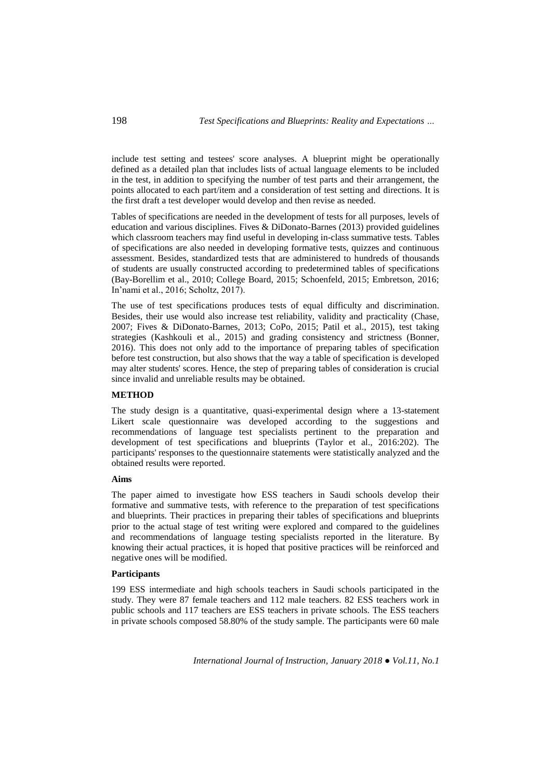include test setting and testees' score analyses. A blueprint might be operationally defined as a detailed plan that includes lists of actual language elements to be included in the test, in addition to specifying the number of test parts and their arrangement, the points allocated to each part/item and a consideration of test setting and directions. It is the first draft a test developer would develop and then revise as needed.

Tables of specifications are needed in the development of tests for all purposes, levels of education and various disciplines. Fives & DiDonato-Barnes (2013) provided guidelines which classroom teachers may find useful in developing in-class summative tests. Tables of specifications are also needed in developing formative tests, quizzes and continuous assessment. Besides, standardized tests that are administered to hundreds of thousands of students are usually constructed according to predetermined tables of specifications (Bay-Borellim et al., 2010; College Board, 2015; Schoenfeld, 2015; Embretson, 2016; In'nami et al., 2016; Scholtz, 2017).

The use of test specifications produces tests of equal difficulty and discrimination. Besides, their use would also increase test reliability, validity and practicality (Chase, 2007; Fives & DiDonato-Barnes, 2013; CoPo, 2015; Patil et al., 2015), test taking strategies (Kashkouli et al., 2015) and grading consistency and strictness (Bonner, 2016). This does not only add to the importance of preparing tables of specification before test construction, but also shows that the way a table of specification is developed may alter students' scores. Hence, the step of preparing tables of consideration is crucial since invalid and unreliable results may be obtained.

### **METHOD**

The study design is a quantitative, quasi-experimental design where a 13-statement Likert scale questionnaire was developed according to the suggestions and recommendations of language test specialists pertinent to the preparation and development of test specifications and blueprints (Taylor et al., 2016:202). The participants' responses to the questionnaire statements were statistically analyzed and the obtained results were reported.

### **Aims**

The paper aimed to investigate how ESS teachers in Saudi schools develop their formative and summative tests, with reference to the preparation of test specifications and blueprints. Their practices in preparing their tables of specifications and blueprints prior to the actual stage of test writing were explored and compared to the guidelines and recommendations of language testing specialists reported in the literature. By knowing their actual practices, it is hoped that positive practices will be reinforced and negative ones will be modified.

### **Participants**

199 ESS intermediate and high schools teachers in Saudi schools participated in the study. They were 87 female teachers and 112 male teachers. 82 ESS teachers work in public schools and 117 teachers are ESS teachers in private schools. The ESS teachers in private schools composed 58.80% of the study sample. The participants were 60 male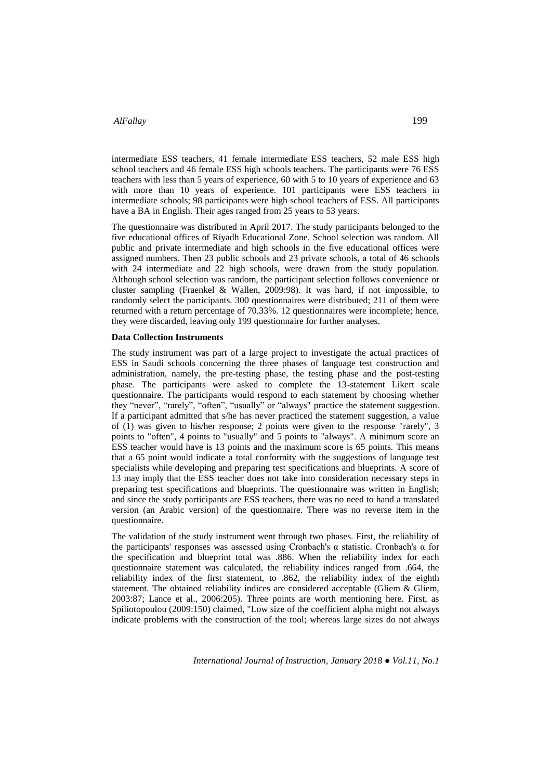intermediate ESS teachers, 41 female intermediate ESS teachers, 52 male ESS high school teachers and 46 female ESS high schools teachers. The participants were 76 ESS teachers with less than 5 years of experience, 60 with 5 to 10 years of experience and 63 with more than 10 years of experience. 101 participants were ESS teachers in intermediate schools; 98 participants were high school teachers of ESS. All participants have a BA in English. Their ages ranged from 25 years to 53 years.

The questionnaire was distributed in April 2017. The study participants belonged to the five educational offices of Riyadh Educational Zone. School selection was random. All public and private intermediate and high schools in the five educational offices were assigned numbers. Then 23 public schools and 23 private schools, a total of 46 schools with 24 intermediate and 22 high schools, were drawn from the study population. Although school selection was random, the participant selection follows convenience or cluster sampling (Fraenkel & Wallen, 2009:98). It was hard, if not impossible, to randomly select the participants. 300 questionnaires were distributed; 211 of them were returned with a return percentage of 70.33%. 12 questionnaires were incomplete; hence, they were discarded, leaving only 199 questionnaire for further analyses.

#### **Data Collection Instruments**

The study instrument was part of a large project to investigate the actual practices of ESS in Saudi schools concerning the three phases of language test construction and administration, namely, the pre-testing phase, the testing phase and the post-testing phase. The participants were asked to complete the 13-statement Likert scale questionnaire. The participants would respond to each statement by choosing whether they "never", "rarely", "often", "usually" or "always" practice the statement suggestion. If a participant admitted that s/he has never practiced the statement suggestion, a value of (1) was given to his/her response; 2 points were given to the response "rarely", 3 points to "often", 4 points to "usually" and 5 points to "always". A minimum score an ESS teacher would have is 13 points and the maximum score is 65 points. This means that a 65 point would indicate a total conformity with the suggestions of language test specialists while developing and preparing test specifications and blueprints. A score of 13 may imply that the ESS teacher does not take into consideration necessary steps in preparing test specifications and blueprints. The questionnaire was written in English; and since the study participants are ESS teachers, there was no need to hand a translated version (an Arabic version) of the questionnaire. There was no reverse item in the questionnaire.

The validation of the study instrument went through two phases. First, the reliability of the participants' responses was assessed using Cronbach's α statistic. Cronbach's α for the specification and blueprint total was .886. When the reliability index for each questionnaire statement was calculated, the reliability indices ranged from .664, the reliability index of the first statement, to .862, the reliability index of the eighth statement. The obtained reliability indices are considered acceptable (Gliem & Gliem, 2003:87; Lance et al., 2006:205). Three points are worth mentioning here. First, as Spiliotopoulou (2009:150) claimed, "Low size of the coefficient alpha might not always indicate problems with the construction of the tool; whereas large sizes do not always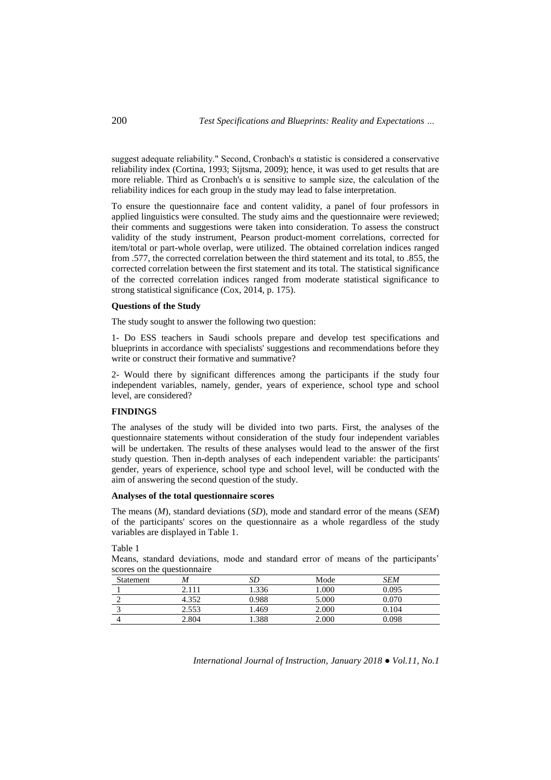suggest adequate reliability." Second, Cronbach's α statistic is considered a conservative reliability index (Cortina, 1993; Sijtsma, 2009); hence, it was used to get results that are more reliable. Third as Cronbach's  $\alpha$  is sensitive to sample size, the calculation of the reliability indices for each group in the study may lead to false interpretation.

To ensure the questionnaire face and content validity, a panel of four professors in applied linguistics were consulted. The study aims and the questionnaire were reviewed; their comments and suggestions were taken into consideration. To assess the construct validity of the study instrument, Pearson product-moment correlations, corrected for item/total or part-whole overlap, were utilized. The obtained correlation indices ranged from .577, the corrected correlation between the third statement and its total, to .855, the corrected correlation between the first statement and its total. The statistical significance of the corrected correlation indices ranged from moderate statistical significance to strong statistical significance (Cox, 2014, p. 175).

### **Questions of the Study**

The study sought to answer the following two question:

1- Do ESS teachers in Saudi schools prepare and develop test specifications and blueprints in accordance with specialists' suggestions and recommendations before they write or construct their formative and summative?

2- Would there by significant differences among the participants if the study four independent variables, namely, gender, years of experience, school type and school level, are considered?

### **FINDINGS**

The analyses of the study will be divided into two parts. First, the analyses of the questionnaire statements without consideration of the study four independent variables will be undertaken. The results of these analyses would lead to the answer of the first study question. Then in-depth analyses of each independent variable: the participants' gender, years of experience, school type and school level, will be conducted with the aim of answering the second question of the study.

### **Analyses of the total questionnaire scores**

The means (*M*), standard deviations (*SD*), mode and standard error of the means (*SEM*) of the participants' scores on the questionnaire as a whole regardless of the study variables are displayed in Table 1.

Table 1

Means, standard deviations, mode and standard error of means of the participants' scores on the questionnaire

| Statement |       | SD    | Mode  | SEM   |
|-----------|-------|-------|-------|-------|
|           |       | .336  | .000  | 0.095 |
|           | 4.352 | 0.988 | 5.000 | 0.070 |
|           | 2.553 | 1.469 | 2.000 | 0.104 |
|           | 2.804 | .388  | 2.000 | 0.098 |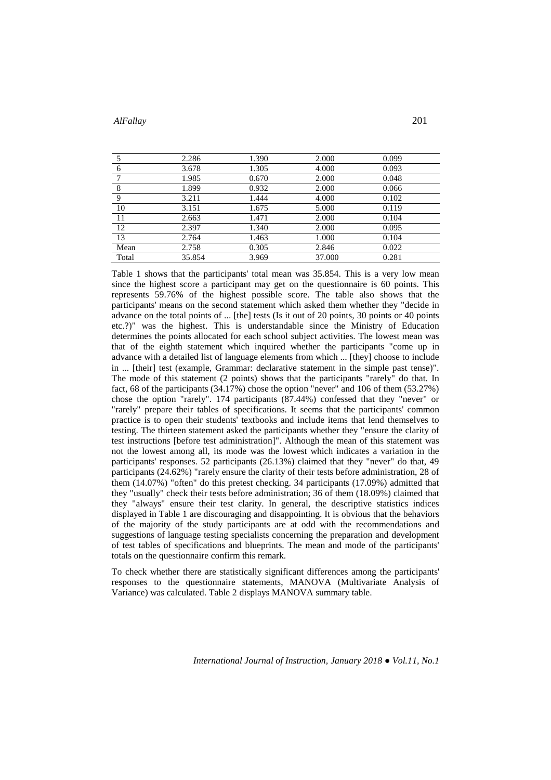|       | 2.286  | 1.390 | 2.000  | 0.099 |
|-------|--------|-------|--------|-------|
| 6     | 3.678  | 1.305 | 4.000  | 0.093 |
|       | 1.985  | 0.670 | 2.000  | 0.048 |
| 8     | 1.899  | 0.932 | 2.000  | 0.066 |
| 9     | 3.211  | 1.444 | 4.000  | 0.102 |
| 10    | 3.151  | 1.675 | 5.000  | 0.119 |
| 11    | 2.663  | 1.471 | 2.000  | 0.104 |
| 12    | 2.397  | 1.340 | 2.000  | 0.095 |
| 13    | 2.764  | 1.463 | 1.000  | 0.104 |
| Mean  | 2.758  | 0.305 | 2.846  | 0.022 |
| Total | 35.854 | 3.969 | 37.000 | 0.281 |

Table 1 shows that the participants' total mean was 35.854. This is a very low mean since the highest score a participant may get on the questionnaire is 60 points. This represents 59.76% of the highest possible score. The table also shows that the participants' means on the second statement which asked them whether they "decide in advance on the total points of ... [the] tests (Is it out of 20 points, 30 points or 40 points etc.?)" was the highest. This is understandable since the Ministry of Education determines the points allocated for each school subject activities. The lowest mean was that of the eighth statement which inquired whether the participants "come up in advance with a detailed list of language elements from which ... [they] choose to include in ... [their] test (example, Grammar: declarative statement in the simple past tense)". The mode of this statement (2 points) shows that the participants "rarely" do that. In fact, 68 of the participants (34.17%) chose the option "never" and 106 of them (53.27%) chose the option "rarely". 174 participants (87.44%) confessed that they "never" or "rarely" prepare their tables of specifications. It seems that the participants' common practice is to open their students' textbooks and include items that lend themselves to testing. The thirteen statement asked the participants whether they "ensure the clarity of test instructions [before test administration]". Although the mean of this statement was not the lowest among all, its mode was the lowest which indicates a variation in the participants' responses. 52 participants (26.13%) claimed that they "never" do that, 49 participants (24.62%) "rarely ensure the clarity of their tests before administration, 28 of them (14.07%) "often" do this pretest checking. 34 participants (17.09%) admitted that they "usually" check their tests before administration; 36 of them (18.09%) claimed that they "always" ensure their test clarity. In general, the descriptive statistics indices displayed in Table 1 are discouraging and disappointing. It is obvious that the behaviors of the majority of the study participants are at odd with the recommendations and suggestions of language testing specialists concerning the preparation and development of test tables of specifications and blueprints. The mean and mode of the participants' totals on the questionnaire confirm this remark.

To check whether there are statistically significant differences among the participants' responses to the questionnaire statements, MANOVA (Multivariate Analysis of Variance) was calculated. Table 2 displays MANOVA summary table.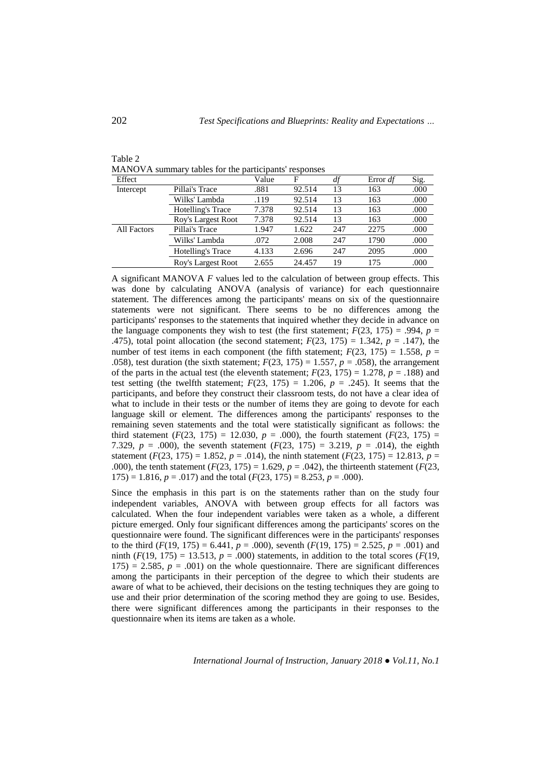| MANOVA summary tables for the participants' responses |                    |       |        |     |          |      |  |  |  |
|-------------------------------------------------------|--------------------|-------|--------|-----|----------|------|--|--|--|
| Effect                                                |                    | Value | F      | df  | Error df | Sig. |  |  |  |
| Intercept                                             | Pillai's Trace     | .881  | 92.514 | 13  | 163      | .000 |  |  |  |
|                                                       | Wilks' Lambda      | .119  | 92.514 | 13  | 163      | .000 |  |  |  |
|                                                       | Hotelling's Trace  | 7.378 | 92.514 | 13  | 163      | .000 |  |  |  |
|                                                       | Roy's Largest Root | 7.378 | 92.514 | 13  | 163      | .000 |  |  |  |
| All Factors                                           | Pillai's Trace     | 1.947 | 1.622  | 247 | 2275     | .000 |  |  |  |
|                                                       | Wilks' Lambda      | .072  | 2.008  | 247 | 1790     | .000 |  |  |  |
|                                                       | Hotelling's Trace  | 4.133 | 2.696  | 247 | 2095     | .000 |  |  |  |
|                                                       | Roy's Largest Root | 2.655 | 24.457 | 19  | 175      | .000 |  |  |  |

A significant MANOVA *F* values led to the calculation of between group effects. This was done by calculating ANOVA (analysis of variance) for each questionnaire statement. The differences among the participants' means on six of the questionnaire statements were not significant. There seems to be no differences among the participants' responses to the statements that inquired whether they decide in advance on the language components they wish to test (the first statement;  $F(23, 175) = .994$ ,  $p =$ 

.475), total point allocation (the second statement;  $F(23, 175) = 1.342$ ,  $p = .147$ ), the number of test items in each component (the fifth statement;  $F(23, 175) = 1.558$ ,  $p =$ .058), test duration (the sixth statement;  $F(23, 175) = 1.557$ ,  $p = .058$ ), the arrangement of the parts in the actual test (the eleventh statement;  $F(23, 175) = 1.278$ ,  $p = .188$ ) and test setting (the twelfth statement;  $F(23, 175) = 1.206$ ,  $p = .245$ ). It seems that the participants, and before they construct their classroom tests, do not have a clear idea of what to include in their tests or the number of items they are going to devote for each language skill or element. The differences among the participants' responses to the remaining seven statements and the total were statistically significant as follows: the third statement  $(F(23, 175) = 12.030, p = .000)$ , the fourth statement  $(F(23, 175) =$ 7.329,  $p = .000$ , the seventh statement  $(F(23, 175) = 3.219, p = .014)$ , the eighth statement ( $F(23, 175) = 1.852$ ,  $p = .014$ ), the ninth statement ( $F(23, 175) = 12.813$ ,  $p =$ .000), the tenth statement  $(F(23, 175) = 1.629, p = .042)$ , the thirteenth statement  $(F(23, 175) = 1.629, p = .042)$ 175) = 1.816,  $p = .017$  and the total ( $F(23, 175) = 8.253$ ,  $p = .000$ ).

Since the emphasis in this part is on the statements rather than on the study four independent variables, ANOVA with between group effects for all factors was calculated. When the four independent variables were taken as a whole, a different picture emerged. Only four significant differences among the participants' scores on the questionnaire were found. The significant differences were in the participants' responses to the third  $(F(19, 175) = 6.441$ ,  $p = .000$ ), seventh  $(F(19, 175) = 2.525$ ,  $p = .001$ ) and ninth  $(F(19, 175) = 13.513, p = .000)$  statements, in addition to the total scores  $(F(19, 175))$  $175$ ) = 2.585,  $p = .001$ ) on the whole questionnaire. There are significant differences among the participants in their perception of the degree to which their students are aware of what to be achieved, their decisions on the testing techniques they are going to use and their prior determination of the scoring method they are going to use. Besides, there were significant differences among the participants in their responses to the questionnaire when its items are taken as a whole.

*International Journal of Instruction, January 2018 ● Vol.11, No.1*

Table 2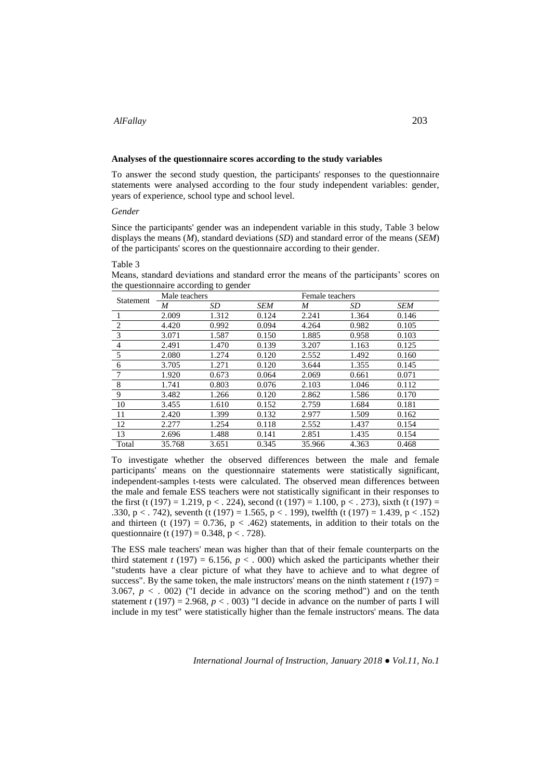### **Analyses of the questionnaire scores according to the study variables**

To answer the second study question, the participants' responses to the questionnaire statements were analysed according to the four study independent variables: gender, years of experience, school type and school level.

### *Gender*

Since the participants' gender was an independent variable in this study, Table 3 below displays the means (*M*), standard deviations (*SD*) and standard error of the means (*SEM*) of the participants' scores on the questionnaire according to their gender.

#### Table 3

Means, standard deviations and standard error the means of the participants' scores on the questionnaire according to gender

| Statement      | Male teachers |       |            |        | Female teachers |            |  |  |
|----------------|---------------|-------|------------|--------|-----------------|------------|--|--|
|                | M             | SD    | <b>SEM</b> | M      | SD              | <b>SEM</b> |  |  |
|                | 2.009         | 1.312 | 0.124      | 2.241  | 1.364           | 0.146      |  |  |
| $\overline{2}$ | 4.420         | 0.992 | 0.094      | 4.264  | 0.982           | 0.105      |  |  |
| 3              | 3.071         | 1.587 | 0.150      | 1.885  | 0.958           | 0.103      |  |  |
| 4              | 2.491         | 1.470 | 0.139      | 3.207  | 1.163           | 0.125      |  |  |
| 5              | 2.080         | 1.274 | 0.120      | 2.552  | 1.492           | 0.160      |  |  |
| 6              | 3.705         | 1.271 | 0.120      | 3.644  | 1.355           | 0.145      |  |  |
|                | 1.920         | 0.673 | 0.064      | 2.069  | 0.661           | 0.071      |  |  |
| 8              | 1.741         | 0.803 | 0.076      | 2.103  | 1.046           | 0.112      |  |  |
| 9              | 3.482         | 1.266 | 0.120      | 2.862  | 1.586           | 0.170      |  |  |
| 10             | 3.455         | 1.610 | 0.152      | 2.759  | 1.684           | 0.181      |  |  |
| 11             | 2.420         | 1.399 | 0.132      | 2.977  | 1.509           | 0.162      |  |  |
| 12             | 2.277         | 1.254 | 0.118      | 2.552  | 1.437           | 0.154      |  |  |
| 13             | 2.696         | 1.488 | 0.141      | 2.851  | 1.435           | 0.154      |  |  |
| Total          | 35.768        | 3.651 | 0.345      | 35.966 | 4.363           | 0.468      |  |  |

To investigate whether the observed differences between the male and female participants' means on the questionnaire statements were statistically significant, independent-samples t-tests were calculated. The observed mean differences between the male and female ESS teachers were not statistically significant in their responses to the first (t (197) = 1.219, p < . 224), second (t (197) = 1.100, p < . 273), sixth (t (197) = .330, p  $\lt$  . 742), seventh (t (197) = 1.565, p  $\lt$  . 199), twelfth (t (197) = 1.439, p  $\lt$  .152) and thirteen (t (197) = 0.736,  $p < .462$ ) statements, in addition to their totals on the questionnaire (t (197) =  $0.348$ , p < . 728).

The ESS male teachers' mean was higher than that of their female counterparts on the third statement  $t(197) = 6.156$ ,  $p < .000$ ) which asked the participants whether their "students have a clear picture of what they have to achieve and to what degree of success". By the same token, the male instructors' means on the ninth statement  $t(197) =$ 3.067,  $p < 0.002$ ) ("I decide in advance on the scoring method") and on the tenth statement  $t(197) = 2.968$ ,  $p < .003$ ) "I decide in advance on the number of parts I will include in my test" were statistically higher than the female instructors' means. The data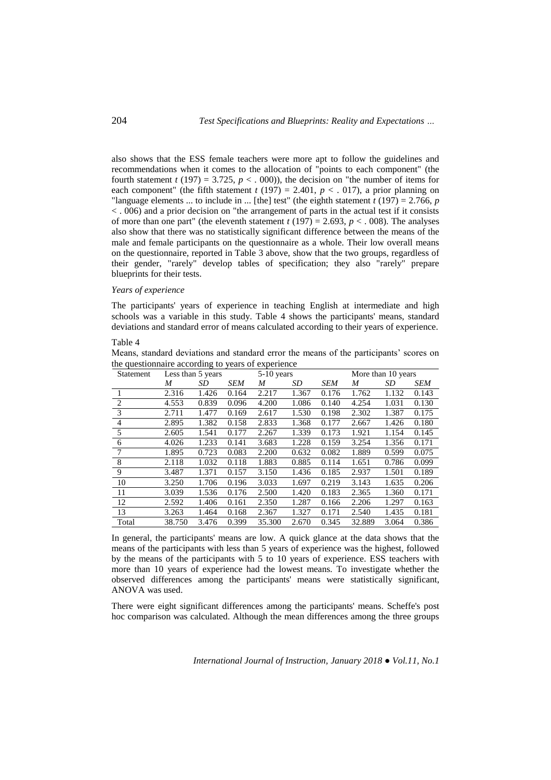also shows that the ESS female teachers were more apt to follow the guidelines and recommendations when it comes to the allocation of "points to each component" (the fourth statement  $t(197) = 3.725$ ,  $p < .000$ )), the decision on "the number of items for each component" (the fifth statement  $t(197) = 2.401$ ,  $p < .017$ ), a prior planning on "language elements ... to include in ... [the] test" (the eighth statement  $t(197) = 2.766$ , *p*  $\lt$ . 006) and a prior decision on "the arrangement of parts in the actual test if it consists of more than one part" (the eleventh statement  $t(197) = 2.693$ ,  $p < .008$ ). The analyses also show that there was no statistically significant difference between the means of the male and female participants on the questionnaire as a whole. Their low overall means on the questionnaire, reported in Table 3 above, show that the two groups, regardless of their gender, "rarely" develop tables of specification; they also "rarely" prepare blueprints for their tests.

#### *Years of experience*

The participants' years of experience in teaching English at intermediate and high schools was a variable in this study. Table 4 shows the participants' means, standard deviations and standard error of means calculated according to their years of experience.

#### Table 4

Means, standard deviations and standard error the means of the participants' scores on the questionnaire according to years of experience

| Statement      |        | Less than 5 years |            |        | $5-10$ years |       |        | More than 10 years |       |  |
|----------------|--------|-------------------|------------|--------|--------------|-------|--------|--------------------|-------|--|
|                | M      | SD                | <b>SEM</b> | M      | SD           | SEM   | M      | SD                 | SEM   |  |
|                | 2.316  | 1.426             | 0.164      | 2.217  | 1.367        | 0.176 | 1.762  | 1.132              | 0.143 |  |
| 2              | 4.553  | 0.839             | 0.096      | 4.200  | 1.086        | 0.140 | 4.254  | 1.031              | 0.130 |  |
| 3              | 2.711  | 1.477             | 0.169      | 2.617  | 1.530        | 0.198 | 2.302  | 1.387              | 0.175 |  |
| $\overline{4}$ | 2.895  | 1.382             | 0.158      | 2.833  | 1.368        | 0.177 | 2.667  | 1.426              | 0.180 |  |
| 5              | 2.605  | 1.541             | 0.177      | 2.267  | 1.339        | 0.173 | 1.921  | 1.154              | 0.145 |  |
| 6              | 4.026  | 1.233             | 0.141      | 3.683  | 1.228        | 0.159 | 3.254  | 1.356              | 0.171 |  |
| 7              | 1.895  | 0.723             | 0.083      | 2.200  | 0.632        | 0.082 | 1.889  | 0.599              | 0.075 |  |
| 8              | 2.118  | 1.032             | 0.118      | 1.883  | 0.885        | 0.114 | 1.651  | 0.786              | 0.099 |  |
| 9              | 3.487  | 1.371             | 0.157      | 3.150  | 1.436        | 0.185 | 2.937  | 1.501              | 0.189 |  |
| 10             | 3.250  | 1.706             | 0.196      | 3.033  | 1.697        | 0.219 | 3.143  | 1.635              | 0.206 |  |
| 11             | 3.039  | 1.536             | 0.176      | 2.500  | 1.420        | 0.183 | 2.365  | 1.360              | 0.171 |  |
| 12             | 2.592  | 1.406             | 0.161      | 2.350  | 1.287        | 0.166 | 2.206  | 1.297              | 0.163 |  |
| 13             | 3.263  | 1.464             | 0.168      | 2.367  | 1.327        | 0.171 | 2.540  | 1.435              | 0.181 |  |
| Total          | 38.750 | 3.476             | 0.399      | 35.300 | 2.670        | 0.345 | 32.889 | 3.064              | 0.386 |  |

In general, the participants' means are low. A quick glance at the data shows that the means of the participants with less than 5 years of experience was the highest, followed by the means of the participants with 5 to 10 years of experience. ESS teachers with more than 10 years of experience had the lowest means. To investigate whether the observed differences among the participants' means were statistically significant, ANOVA was used.

There were eight significant differences among the participants' means. Scheffe's post hoc comparison was calculated. Although the mean differences among the three groups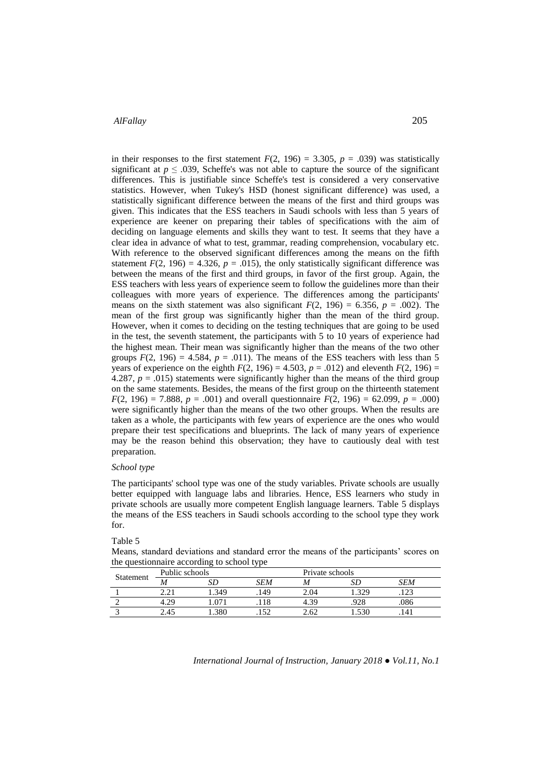in their responses to the first statement  $F(2, 196) = 3.305$ ,  $p = .039$ ) was statistically significant at  $p \leq 0.039$ , Scheffe's was not able to capture the source of the significant differences. This is justifiable since Scheffe's test is considered a very conservative statistics. However, when Tukey's HSD (honest significant difference) was used, a statistically significant difference between the means of the first and third groups was given. This indicates that the ESS teachers in Saudi schools with less than 5 years of experience are keener on preparing their tables of specifications with the aim of deciding on language elements and skills they want to test. It seems that they have a clear idea in advance of what to test, grammar, reading comprehension, vocabulary etc. With reference to the observed significant differences among the means on the fifth statement  $F(2, 196) = 4.326$ ,  $p = .015$ ), the only statistically significant difference was between the means of the first and third groups, in favor of the first group. Again, the ESS teachers with less years of experience seem to follow the guidelines more than their colleagues with more years of experience. The differences among the participants' means on the sixth statement was also significant  $F(2, 196) = 6.356$ ,  $p = .002$ ). The mean of the first group was significantly higher than the mean of the third group. However, when it comes to deciding on the testing techniques that are going to be used in the test, the seventh statement, the participants with 5 to 10 years of experience had the highest mean. Their mean was significantly higher than the means of the two other groups  $F(2, 196) = 4.584$ ,  $p = .011$ ). The means of the ESS teachers with less than 5 years of experience on the eighth  $F(2, 196) = 4.503$ ,  $p = .012$ ) and eleventh  $F(2, 196) =$ 4.287,  $p = .015$ ) statements were significantly higher than the means of the third group on the same statements. Besides, the means of the first group on the thirteenth statement  $F(2, 196) = 7.888$ ,  $p = .001$ ) and overall questionnaire  $F(2, 196) = 62.099$ ,  $p = .000$ ) were significantly higher than the means of the two other groups. When the results are taken as a whole, the participants with few years of experience are the ones who would prepare their test specifications and blueprints. The lack of many years of experience may be the reason behind this observation; they have to cautiously deal with test preparation.

#### *School type*

The participants' school type was one of the study variables. Private schools are usually better equipped with language labs and libraries. Hence, ESS learners who study in private schools are usually more competent English language learners. Table 5 displays the means of the ESS teachers in Saudi schools according to the school type they work for.

### Table 5

Means, standard deviations and standard error the means of the participants' scores on the questionnaire according to school type

| Statement | Public schools |            |      |      | Private schools |      |  |  |
|-----------|----------------|------------|------|------|-----------------|------|--|--|
|           | M              |            | SEM  | Μ    |                 | SEM  |  |  |
|           | ົາ             | .349       | .149 | 2.04 | 320             |      |  |  |
|           |                | $\sqrt{7}$ |      | 4.39 | .928            | .086 |  |  |
|           | 2.45           | 380        |      |      |                 |      |  |  |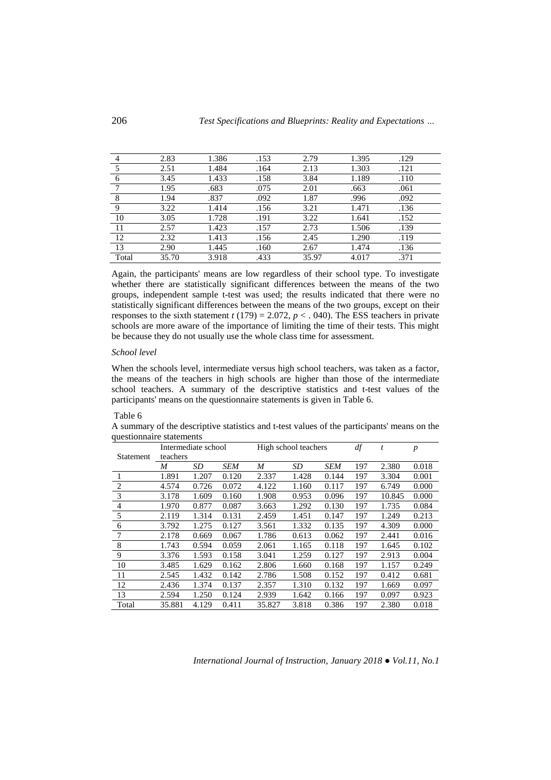| 4     | 2.83  | 1.386 | .153 | 2.79  | 1.395 | .129 |  |
|-------|-------|-------|------|-------|-------|------|--|
|       | 2.51  | 1.484 | .164 | 2.13  | 1.303 | .121 |  |
| 6     | 3.45  | 1.433 | .158 | 3.84  | 1.189 | .110 |  |
|       | 1.95  | .683  | .075 | 2.01  | .663  | .061 |  |
| 8     | 1.94  | .837  | .092 | 1.87  | .996  | .092 |  |
| -9    | 3.22  | 1.414 | .156 | 3.21  | 1.471 | .136 |  |
| 10    | 3.05  | 1.728 | .191 | 3.22  | 1.641 | .152 |  |
| 11    | 2.57  | 1.423 | .157 | 2.73  | 1.506 | .139 |  |
| 12    | 2.32  | 1.413 | .156 | 2.45  | 1.290 | .119 |  |
| 13    | 2.90  | 1.445 | .160 | 2.67  | 1.474 | .136 |  |
| Total | 35.70 | 3.918 | .433 | 35.97 | 4.017 | .371 |  |

Again, the participants' means are low regardless of their school type. To investigate whether there are statistically significant differences between the means of the two groups, independent sample t-test was used; the results indicated that there were no statistically significant differences between the means of the two groups, except on their responses to the sixth statement  $t(179) = 2.072$ ,  $p < .040$ ). The ESS teachers in private schools are more aware of the importance of limiting the time of their tests. This might be because they do not usually use the whole class time for assessment.

#### *School level*

When the schools level, intermediate versus high school teachers, was taken as a factor, the means of the teachers in high schools are higher than those of the intermediate school teachers. A summary of the descriptive statistics and t-test values of the participants' means on the questionnaire statements is given in Table 6.

#### Table 6

A summary of the descriptive statistics and t-test values of the participants' means on the questionnaire statements

|                | Intermediate school |       |            |        | High school teachers |            |     | t      | $\boldsymbol{p}$ |
|----------------|---------------------|-------|------------|--------|----------------------|------------|-----|--------|------------------|
| Statement      | teachers            |       |            |        |                      |            |     |        |                  |
|                | M                   | SD    | <b>SEM</b> | M      | SD                   | <b>SEM</b> | 197 | 2.380  | 0.018            |
| 1              | 1.891               | 1.207 | 0.120      | 2.337  | 1.428                | 0.144      | 197 | 3.304  | 0.001            |
| 2              | 4.574               | 0.726 | 0.072      | 4.122  | 1.160                | 0.117      | 197 | 6.749  | 0.000            |
| 3              | 3.178               | 1.609 | 0.160      | 1.908  | 0.953                | 0.096      | 197 | 10.845 | 0.000            |
| $\overline{4}$ | 1.970               | 0.877 | 0.087      | 3.663  | 1.292                | 0.130      | 197 | 1.735  | 0.084            |
| 5              | 2.119               | 1.314 | 0.131      | 2.459  | 1.451                | 0.147      | 197 | 1.249  | 0.213            |
| 6              | 3.792               | 1.275 | 0.127      | 3.561  | 1.332                | 0.135      | 197 | 4.309  | 0.000            |
| 7              | 2.178               | 0.669 | 0.067      | 1.786  | 0.613                | 0.062      | 197 | 2.441  | 0.016            |
| 8              | 1.743               | 0.594 | 0.059      | 2.061  | 1.165                | 0.118      | 197 | 1.645  | 0.102            |
| 9              | 3.376               | 1.593 | 0.158      | 3.041  | 1.259                | 0.127      | 197 | 2.913  | 0.004            |
| 10             | 3.485               | 1.629 | 0.162      | 2.806  | 1.660                | 0.168      | 197 | 1.157  | 0.249            |
| 11             | 2.545               | 1.432 | 0.142      | 2.786  | 1.508                | 0.152      | 197 | 0.412  | 0.681            |
| 12             | 2.436               | 1.374 | 0.137      | 2.357  | 1.310                | 0.132      | 197 | 1.669  | 0.097            |
| 13             | 2.594               | 1.250 | 0.124      | 2.939  | 1.642                | 0.166      | 197 | 0.097  | 0.923            |
| Total          | 35.881              | 4.129 | 0.411      | 35.827 | 3.818                | 0.386      | 197 | 2.380  | 0.018            |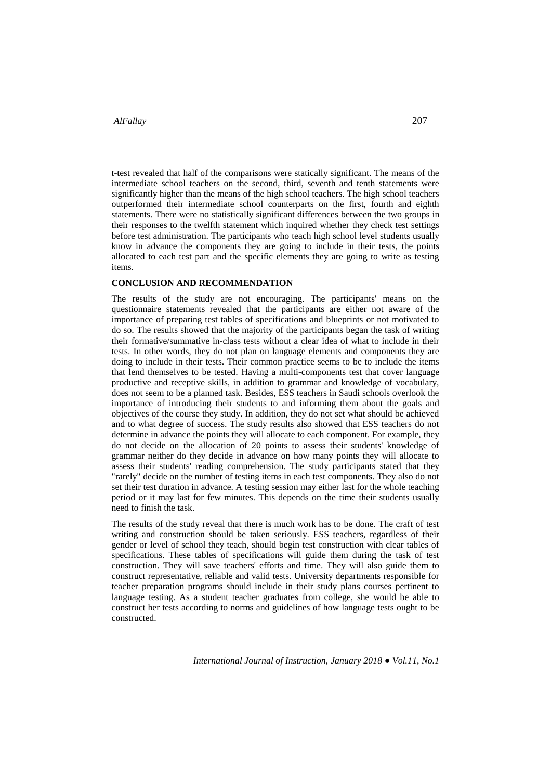t-test revealed that half of the comparisons were statically significant. The means of the intermediate school teachers on the second, third, seventh and tenth statements were significantly higher than the means of the high school teachers. The high school teachers outperformed their intermediate school counterparts on the first, fourth and eighth statements. There were no statistically significant differences between the two groups in their responses to the twelfth statement which inquired whether they check test settings before test administration. The participants who teach high school level students usually know in advance the components they are going to include in their tests, the points allocated to each test part and the specific elements they are going to write as testing items.

#### **CONCLUSION AND RECOMMENDATION**

The results of the study are not encouraging. The participants' means on the questionnaire statements revealed that the participants are either not aware of the importance of preparing test tables of specifications and blueprints or not motivated to do so. The results showed that the majority of the participants began the task of writing their formative/summative in-class tests without a clear idea of what to include in their tests. In other words, they do not plan on language elements and components they are doing to include in their tests. Their common practice seems to be to include the items that lend themselves to be tested. Having a multi-components test that cover language productive and receptive skills, in addition to grammar and knowledge of vocabulary, does not seem to be a planned task. Besides, ESS teachers in Saudi schools overlook the importance of introducing their students to and informing them about the goals and objectives of the course they study. In addition, they do not set what should be achieved and to what degree of success. The study results also showed that ESS teachers do not determine in advance the points they will allocate to each component. For example, they do not decide on the allocation of 20 points to assess their students' knowledge of grammar neither do they decide in advance on how many points they will allocate to assess their students' reading comprehension. The study participants stated that they "rarely" decide on the number of testing items in each test components. They also do not set their test duration in advance. A testing session may either last for the whole teaching period or it may last for few minutes. This depends on the time their students usually need to finish the task.

The results of the study reveal that there is much work has to be done. The craft of test writing and construction should be taken seriously. ESS teachers, regardless of their gender or level of school they teach, should begin test construction with clear tables of specifications. These tables of specifications will guide them during the task of test construction. They will save teachers' efforts and time. They will also guide them to construct representative, reliable and valid tests. University departments responsible for teacher preparation programs should include in their study plans courses pertinent to language testing. As a student teacher graduates from college, she would be able to construct her tests according to norms and guidelines of how language tests ought to be constructed.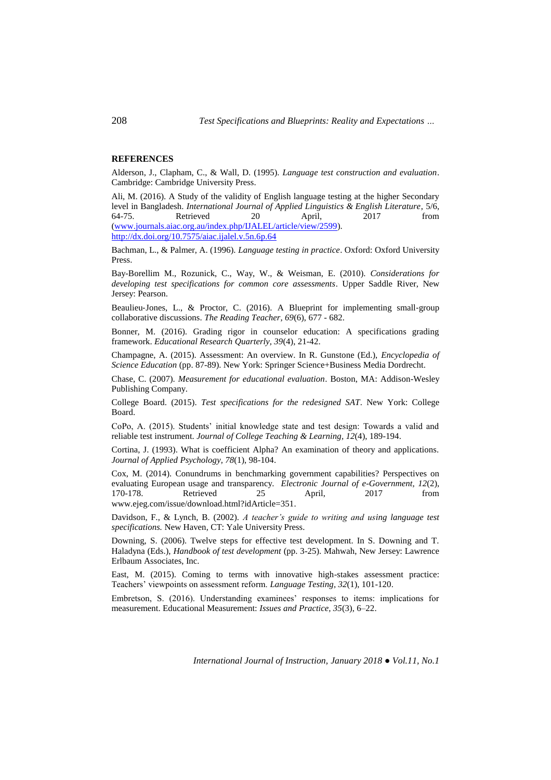### **REFERENCES**

Alderson, J., Clapham, C., & Wall, D. (1995). *Language test construction and evaluation*. Cambridge: Cambridge University Press.

Ali, M. (2016). A Study of the validity of English language testing at the higher Secondary level in Bangladesh. *International Journal of Applied Linguistics & English Literature*, 5/6, 64-75. Retrieved 20 April, 2017 from [\(www.journals.aiac.org.au/index.php/IJALEL/article/view/2599\)](http://www.journals.aiac.org.au/index.php/IJALEL/article/view/2599). <http://dx.doi.org/10.7575/aiac.ijalel.v.5n.6p.64>

Bachman, L., & Palmer, A. (1996). *Language testing in practice*. Oxford: Oxford University Press.

Bay-Borellim M., Rozunick, C., Way, W., & Weisman, E. (2010). *Considerations for developing test specifications for common core assessments*. Upper Saddle River, New Jersey: Pearson.

Beaulieu‐Jones, L., & Proctor, C. (2016). A Blueprint for implementing small‐group collaborative discussions. *The Reading Teacher, 69*(6), 677 - 682.

Bonner, M. (2016). Grading rigor in counselor education: A specifications grading framework. *Educational Research Quarterly, 39*(4), 21-42.

Champagne, A. (2015). Assessment: An overview. In R. Gunstone (Ed.), *Encyclopedia of Science Education* (pp. 87-89). New York: Springer Science+Business Media Dordrecht.

Chase, C. (2007). *Measurement for educational evaluation*. Boston, MA: Addison-Wesley Publishing Company.

College Board. (2015). *Test specifications for the redesigned SAT*. New York: College Board.

CoPo, A. (2015). Students' initial knowledge state and test design: Towards a valid and reliable test instrument. *Journal of College Teaching & Learning, 12*(4), 189-194.

Cortina, J. (1993). What is coefficient Alpha? An examination of theory and applications. *Journal of Applied Psychology, 78*(1), 98-104.

Cox, M. (2014). Conundrums in benchmarking government capabilities? Perspectives on evaluating European usage and transparency. *Electronic Journal of e-Government, 12*(2), 170-178. Retrieved 25 April, 2017 from www.ejeg.com/issue/download.html?idArticle=351.

Davidson, F., & Lynch, B. (2002). *A teacher's guide to writing and using language test specifications.* New Haven, CT: Yale University Press.

Downing, S. (2006). Twelve steps for effective test development. In S. Downing and T. Haladyna (Eds.), *Handbook of test development* (pp. 3-25). Mahwah, New Jersey: Lawrence Erlbaum Associates, Inc.

East, M. (2015). Coming to terms with innovative high-stakes assessment practice: Teachers' viewpoints on assessment reform. *Language Testing, 32*(1), 101-120.

Embretson, S. (2016). Understanding examinees' responses to items: implications for measurement. Educational Measurement: *Issues and Practice, 35*(3), 6–22.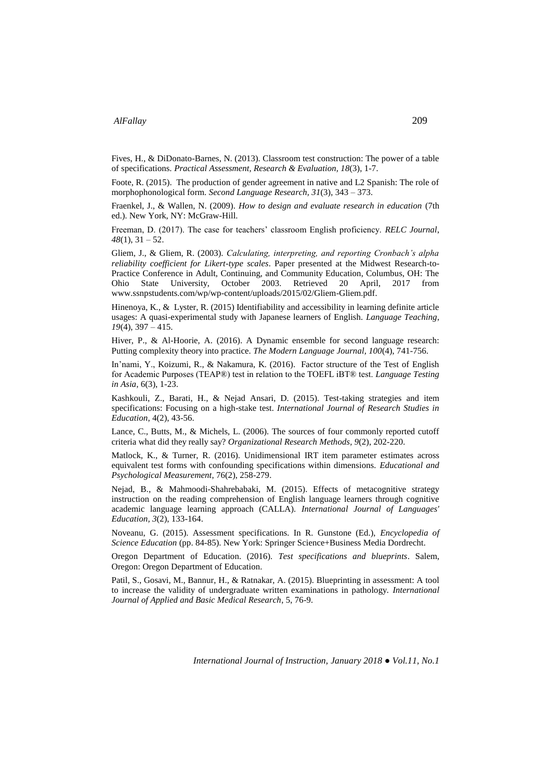Fives, H., & DiDonato-Barnes, N. (2013). Classroom test construction: The power of a table of specifications. *Practical Assessment, Research & Evaluation, 18*(3), 1-7.

Foote, R. (2015). The production of gender agreement in native and L2 Spanish: The role of morphophonological form. *Second Language Research, 31*(3), 343 – 373.

Fraenkel, J., & Wallen, N. (2009). *How to design and evaluate research in education* (7th ed.). New York, NY: McGraw-Hill.

Freeman, D. (2017). The case for teachers' classroom English proficiency. *RELC Journal*, *48*(1), 31 – 52.

Gliem, J., & Gliem, R. (2003). *Calculating, interpreting, and reporting Cronbach's alpha reliability coefficient for Likert-type scales*. Paper presented at the Midwest Research-to-Practice Conference in Adult, Continuing, and Community Education, Columbus, OH: The Ohio State University, October 2003. Retrieved 20 April, 2017 from Ohio State University, October 2003. Retrieved 20 April, 2017 from www.ssnpstudents.com/wp/wp-content/uploads/2015/02/Gliem-Gliem.pdf.

Hinenoya, K., & Lyster, R. (2015) Identifiability and accessibility in learning definite article usages: A quasi-experimental study with Japanese learners of English. *Language Teaching*, *19*(4), 397 – 415.

Hiver, P., & Al-Hoorie, A. (2016). A Dynamic ensemble for second language research: Putting complexity theory into practice. *The Modern Language Journal, 100*(4), 741-756.

In'nami, Y., Koizumi, R., & Nakamura, K. (2016). Factor structure of the Test of English for Academic Purposes (TEAP®) test in relation to the TOEFL iBT® test. *Language Testing in Asia*, 6(3), 1-23.

Kashkouli, Z., Barati, H., & Nejad Ansari, D. (2015). Test-taking strategies and item specifications: Focusing on a high-stake test. *International Journal of Research Studies in Education*, 4(2), 43-56.

Lance, C., Butts, M., & Michels, L. (2006). The sources of four commonly reported cutoff criteria what did they really say? *Organizational Research Methods, 9*(2), 202-220.

Matlock, K., & Turner, R. (2016). Unidimensional IRT item parameter estimates across equivalent test forms with confounding specifications within dimensions. *Educational and Psychological Measurement*, 76(2), 258-279.

Nejad, B., & Mahmoodi-Shahrebabaki, M. (2015). Effects of metacognitive strategy instruction on the reading comprehension of English language learners through cognitive academic language learning approach (CALLA). *International Journal of Languages' Education, 3*(2), 133-164.

Noveanu, G. (2015). Assessment specifications. In R. Gunstone (Ed.), *Encyclopedia of Science Education* (pp. 84-85). New York: Springer Science+Business Media Dordrecht.

Oregon Department of Education. (2016). *Test specifications and blueprints*. Salem, Oregon: Oregon Department of Education.

Patil, S., Gosavi, M., Bannur, H., & Ratnakar, A. (2015). Blueprinting in assessment: A tool to increase the validity of undergraduate written examinations in pathology. *International Journal of Applied and Basic Medical Research*, 5, 76-9.